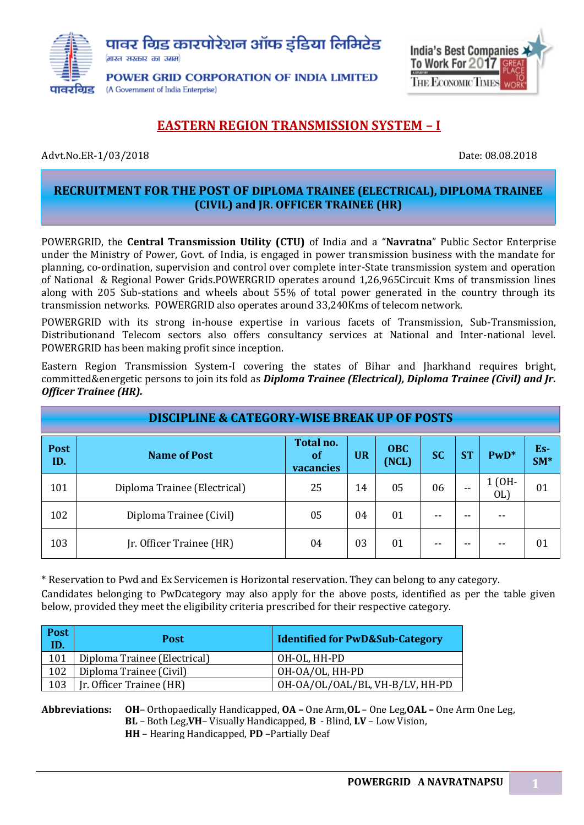



# **EASTERN REGION TRANSMISSION SYSTEM – I**

Advt.No.ER-1/03/2018 **Date: 08.08.2018** Date: 08.08.2018

### **RECRUITMENT FOR THE POST OF DIPLOMA TRAINEE (ELECTRICAL), DIPLOMA TRAINEE (CIVIL) and JR. OFFICER TRAINEE (HR)**

POWERGRID, the **Central Transmission Utility (CTU)** of India and a "**Navratna**" Public Sector Enterprise under the Ministry of Power, Govt. of India, is engaged in power transmission business with the mandate for planning, co-ordination, supervision and control over complete inter-State transmission system and operation of National & Regional Power Grids.POWERGRID operates around 1,26,965Circuit Kms of transmission lines along with 205 Sub-stations and wheels about 55% of total power generated in the country through its transmission networks. POWERGRID also operates around 33,240Kms of telecom network.

POWERGRID with its strong in-house expertise in various facets of Transmission, Sub-Transmission, Distributionand Telecom sectors also offers consultancy services at National and Inter-national level. POWERGRID has been making profit since inception.

Eastern Region Transmission System-I covering the states of Bihar and Jharkhand requires bright, committed&energetic persons to join its fold as *Diploma Trainee (Electrical), Diploma Trainee (Civil) and Jr. Officer Trainee (HR).*

|             | <b>DISCIPLINE &amp; CATEGORY-WISE BREAK UP OF POSTS</b> |                              |           |                     |           |           |                |              |
|-------------|---------------------------------------------------------|------------------------------|-----------|---------------------|-----------|-----------|----------------|--------------|
| Post<br>ID. | <b>Name of Post</b>                                     | Total no.<br>of<br>vacancies | <b>UR</b> | <b>OBC</b><br>(NCL) | <b>SC</b> | <b>ST</b> | $PwD*$         | Es-<br>$SM*$ |
| 101         | Diploma Trainee (Electrical)                            | 25                           | 14        | 05                  | 06        | --        | $1$ (OH-<br>OL | 01           |
| 102         | Diploma Trainee (Civil)                                 | 05                           | 04        | 01                  |           | --        | --             |              |
| 103         | Jr. Officer Trainee (HR)                                | 04                           | 03        | 01                  |           | --        | $ -$           | 01           |

\* Reservation to Pwd and Ex Servicemen is Horizontal reservation. They can belong to any category.

Candidates belonging to PwDcategory may also apply for the above posts, identified as per the table given below, provided they meet the eligibility criteria prescribed for their respective category.

| Post<br>ID. | <b>Post</b>                  | <b>Identified for PwD&amp;Sub-Category</b> |
|-------------|------------------------------|--------------------------------------------|
| 101         | Diploma Trainee (Electrical) | OH-OL, HH-PD                               |
| 102         | Diploma Trainee (Civil)      | OH-OA/OL, HH-PD                            |
| 103         | [r. Officer Trainee (HR)     | OH-OA/OL/OAL/BL, VH-B/LV, HH-PD            |

**Abbreviations: OH**– Orthopaedically Handicapped, **OA –** One Arm,**OL** – One Leg,**OAL –** One Arm One Leg, **BL** – Both Leg,**VH**– Visually Handicapped, **B** - Blind, **LV** – Low Vision, **HH** – Hearing Handicapped, **PD** –Partially Deaf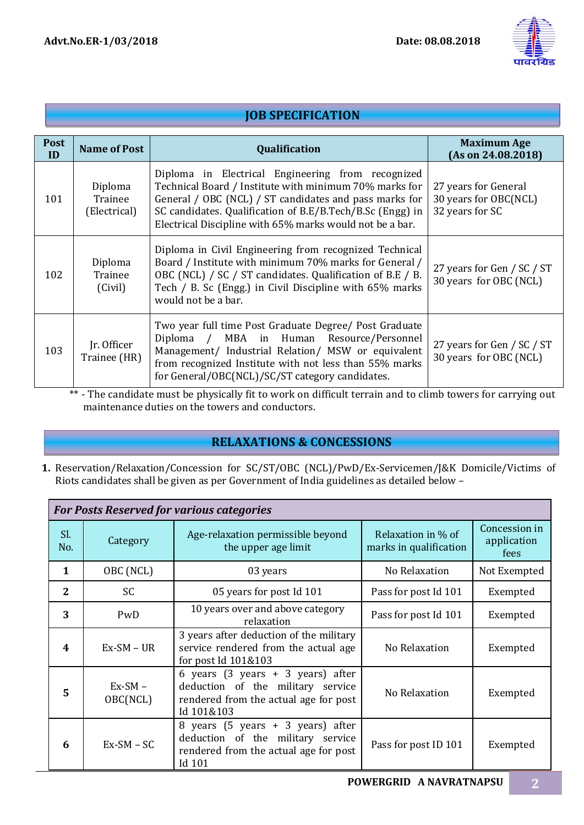

|                   | <b>JOB SPECIFICATION</b>           |                                                                                                                                                                                                                                                                                                |                                                                  |  |  |  |  |  |  |
|-------------------|------------------------------------|------------------------------------------------------------------------------------------------------------------------------------------------------------------------------------------------------------------------------------------------------------------------------------------------|------------------------------------------------------------------|--|--|--|--|--|--|
| <b>Post</b><br>ID | <b>Name of Post</b>                | Qualification                                                                                                                                                                                                                                                                                  | <b>Maximum Age</b><br>(As on 24.08.2018)                         |  |  |  |  |  |  |
| 101               | Diploma<br>Trainee<br>(Electrical) | Diploma in Electrical Engineering from recognized<br>Technical Board / Institute with minimum 70% marks for<br>General / OBC (NCL) / ST candidates and pass marks for<br>SC candidates. Qualification of B.E/B.Tech/B.Sc (Engg) in<br>Electrical Discipline with 65% marks would not be a bar. | 27 years for General<br>30 years for OBC(NCL)<br>32 years for SC |  |  |  |  |  |  |
| 102               | Diploma<br>Trainee<br>(Civil)      | Diploma in Civil Engineering from recognized Technical<br>Board / Institute with minimum 70% marks for General /<br>OBC (NCL) / SC / ST candidates. Qualification of B.E / B.<br>Tech / B. Sc (Engg.) in Civil Discipline with 65% marks<br>would not be a bar.                                | 27 years for Gen / SC / ST<br>30 years for OBC (NCL)             |  |  |  |  |  |  |
| 103               | Ir. Officer<br>Trainee (HR)        | Two year full time Post Graduate Degree/ Post Graduate<br>Diploma / MBA in Human Resource/Personnel<br>Management/ Industrial Relation/ MSW or equivalent<br>from recognized Institute with not less than 55% marks<br>for General/OBC(NCL)/SC/ST category candidates.                         | 27 years for Gen / SC / ST<br>30 years for OBC (NCL)             |  |  |  |  |  |  |

\*\* - The candidate must be physically fit to work on difficult terrain and to climb towers for carrying out maintenance duties on the towers and conductors.

## **RELAXATIONS & CONCESSIONS**

**1.** Reservation/Relaxation/Concession for SC/ST/OBC (NCL)/PwD/Ex-Servicemen/J&K Domicile/Victims of Riots candidates shall be given as per Government of India guidelines as detailed below –

|                  | <b>For Posts Reserved for various categories</b> |                                                                                                                                                                   |                                              |                                      |  |  |  |  |
|------------------|--------------------------------------------------|-------------------------------------------------------------------------------------------------------------------------------------------------------------------|----------------------------------------------|--------------------------------------|--|--|--|--|
| Sl.<br>No.       | Category                                         | Age-relaxation permissible beyond<br>the upper age limit                                                                                                          | Relaxation in % of<br>marks in qualification | Concession in<br>application<br>fees |  |  |  |  |
| $\mathbf{1}$     | OBC (NCL)                                        | 03 years                                                                                                                                                          | No Relaxation                                | Not Exempted                         |  |  |  |  |
| $\mathbf{2}$     | <b>SC</b>                                        | 05 years for post Id 101                                                                                                                                          | Pass for post Id 101                         | Exempted                             |  |  |  |  |
| 3                | PwD                                              | 10 years over and above category<br>relaxation                                                                                                                    | Pass for post Id 101                         | Exempted                             |  |  |  |  |
| $\boldsymbol{4}$ | $Ex-SM - UR$                                     | 3 years after deduction of the military<br>service rendered from the actual age<br>No Relaxation<br>for post Id 101&103                                           |                                              | Exempted                             |  |  |  |  |
| 5                | $Ex-SM -$<br>OBC(NCL)                            | 6 years $(3 \text{ years } + 3 \text{ years})$ after<br>deduction of the military service<br>No Relaxation<br>rendered from the actual age for post<br>Id 101&103 |                                              | Exempted                             |  |  |  |  |
| 6                | $Ex-SM - SC$                                     | 8 years (5 years + 3 years) after<br>deduction of the military service<br>rendered from the actual age for post<br>Id 101                                         | Pass for post ID 101                         | Exempted                             |  |  |  |  |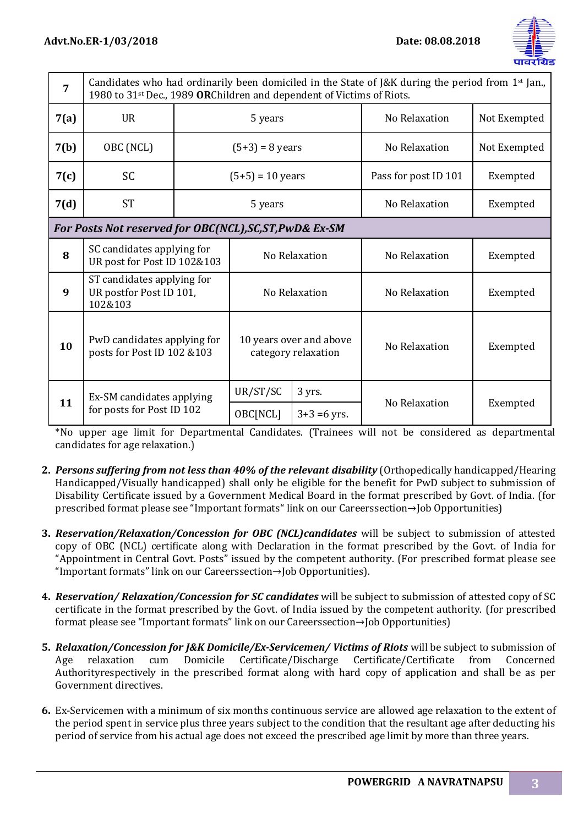

| $\overline{7}$ | Candidates who had ordinarily been domiciled in the State of J&K during the period from $1st$ Jan.,<br>1980 to 31 <sup>st</sup> Dec., 1989 ORChildren and dependent of Victims of Riots. |                           |                                                |                      |               |          |  |
|----------------|------------------------------------------------------------------------------------------------------------------------------------------------------------------------------------------|---------------------------|------------------------------------------------|----------------------|---------------|----------|--|
| 7(a)           | <b>UR</b>                                                                                                                                                                                | 5 years                   |                                                | No Relaxation        | Not Exempted  |          |  |
| 7(b)           | OBC (NCL)                                                                                                                                                                                | $(5+3) = 8$ years         |                                                | No Relaxation        | Not Exempted  |          |  |
| 7(c)           | <b>SC</b>                                                                                                                                                                                | $(5+5) = 10$ years        |                                                | Pass for post ID 101 | Exempted      |          |  |
| 7(d)           | <b>ST</b>                                                                                                                                                                                |                           | 5 years                                        |                      | No Relaxation | Exempted |  |
|                | For Posts Not reserved for OBC(NCL), SC, ST, PwD& Ex-SM                                                                                                                                  |                           |                                                |                      |               |          |  |
| 8              | SC candidates applying for<br>UR post for Post ID 102&103                                                                                                                                |                           |                                                | No Relaxation        | No Relaxation | Exempted |  |
| 9              | ST candidates applying for<br>UR postfor Post ID 101,<br>102&103                                                                                                                         |                           | No Relaxation                                  |                      | No Relaxation | Exempted |  |
| 10             | PwD candidates applying for<br>posts for Post ID 102 & 103                                                                                                                               |                           | 10 years over and above<br>category relaxation |                      | No Relaxation | Exempted |  |
| 11             | Ex-SM candidates applying                                                                                                                                                                |                           | UR/ST/SC<br>OBC[NCL]                           | 3 yrs.               | No Relaxation | Exempted |  |
|                |                                                                                                                                                                                          | for posts for Post ID 102 |                                                | $3+3=6$ yrs.         |               |          |  |

\*No upper age limit for Departmental Candidates. (Trainees will not be considered as departmental candidates for age relaxation.)

- **2.** *Persons suffering from not less than 40% of the relevant disability* (Orthopedically handicapped/Hearing Handicapped/Visually handicapped) shall only be eligible for the benefit for PwD subject to submission of Disability Certificate issued by a Government Medical Board in the format prescribed by Govt. of India. (for prescribed format please see "[Important formats](http://www.powergridindia.com/_layouts/PowerGrid/WriteReadData/file/career/Format_PH.pdf)" link on our Careerssection→Job Opportunities)
- **3.** *Reservation/Relaxation/Concession for OBC (NCL)candidates* will be subject to submission of attested copy of OBC (NCL) certificate along with Declaration in the format prescribed by the Govt. of India for "Appointment in Central Govt. Posts" issued by the competent authority. (For prescribed format please see "[Important formats](http://www.powergridindia.com/_layouts/PowerGrid/WriteReadData/file/career/OBC_NCL_CERTIFICATE.pdf)" link on our Careerssection→Job Opportunities).
- **4.** *Reservation/ Relaxation/Concession for SC candidates* will be subject to submission of attested copy of SC certificate in the format prescribed by the Govt. of India issued by the competent authority. (for prescribed format please see "[Important formats](http://www.powergridindia.com/_layouts/PowerGrid/WriteReadData/file/career/Format_SC_ST.pdf)" link on our Careerssection→Job Opportunities)
- **5.** *Relaxation/Concession for J&K Domicile/Ex-Servicemen/ Victims of Riots* will be subject to submission of Age relaxation cum Domicile Certificate/Discharge Certificate/Certificate from Concerned Authorityrespectively in the prescribed format along with hard copy of application and shall be as per Government directives.
- **6.** Ex-Servicemen with a minimum of six months continuous service are allowed age relaxation to the extent of the period spent in service plus three years subject to the condition that the resultant age after deducting his period of service from his actual age does not exceed the prescribed age limit by more than three years.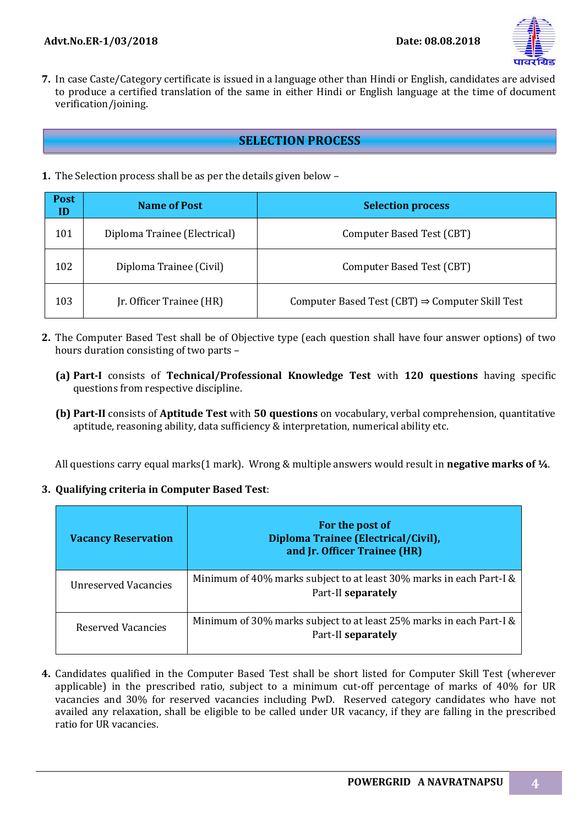

**7.** In case Caste/Category certificate is issued in a language other than Hindi or English, candidates are advised to produce a certified translation of the same in either Hindi or English language at the time of document verification/joining.

### **SELECTION PROCESS**

**1.** The Selection process shall be as per the details given below –

| <b>Post</b><br>ID | <b>Name of Post</b>          | <b>Selection process</b>                                    |
|-------------------|------------------------------|-------------------------------------------------------------|
| 101               | Diploma Trainee (Electrical) | Computer Based Test (CBT)                                   |
| 102               | Diploma Trainee (Civil)      | Computer Based Test (CBT)                                   |
| 103               | Jr. Officer Trainee (HR)     | Computer Based Test (CBT) $\Rightarrow$ Computer Skill Test |

- **2.** The Computer Based Test shall be of Objective type (each question shall have four answer options) of two hours duration consisting of two parts –
	- **(a) Part-I** consists of **Technical/Professional Knowledge Test** with **120 questions** having specific questions from respective discipline.
	- **(b) Part-II** consists of **Aptitude Test** with **50 questions** on vocabulary, verbal comprehension, quantitative aptitude, reasoning ability, data sufficiency & interpretation, numerical ability etc.

All questions carry equal marks(1 mark). Wrong & multiple answers would result in **negative marks of ¼**.

#### **3. Qualifying criteria in Computer Based Test**:

| <b>Vacancy Reservation</b> | For the post of<br>Diploma Trainee (Electrical/Civil),<br>and Jr. Officer Trainee (HR)    |
|----------------------------|-------------------------------------------------------------------------------------------|
| Unreserved Vacancies       | Minimum of 40% marks subject to at least 30% marks in each Part-I &<br>Part-II separately |
| Reserved Vacancies         | Minimum of 30% marks subject to at least 25% marks in each Part-I &<br>Part-II separately |

**4.** Candidates qualified in the Computer Based Test shall be short listed for Computer Skill Test (wherever applicable) in the prescribed ratio, subject to a minimum cut-off percentage of marks of 40% for UR vacancies and 30% for reserved vacancies including PwD. Reserved category candidates who have not availed any relaxation, shall be eligible to be called under UR vacancy, if they are falling in the prescribed ratio for UR vacancies.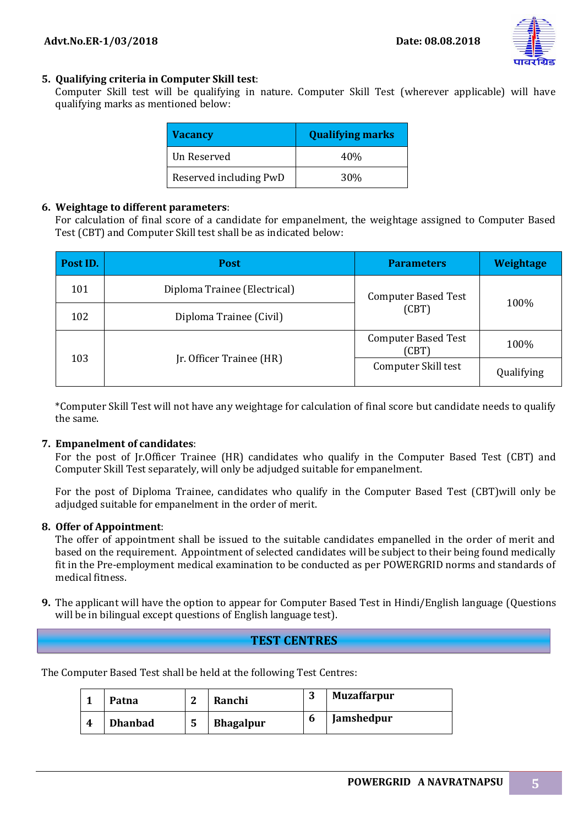

### **5. Qualifying criteria in Computer Skill test**:

Computer Skill test will be qualifying in nature. Computer Skill Test (wherever applicable) will have qualifying marks as mentioned below:

| <b>Vacancy</b>         | <b>Qualifying marks</b> |
|------------------------|-------------------------|
| Un Reserved            | 40\%                    |
| Reserved including PwD | 30 <sup>%</sup>         |

#### **6. Weightage to different parameters**:

For calculation of final score of a candidate for empanelment, the weightage assigned to Computer Based Test (CBT) and Computer Skill test shall be as indicated below:

| Post ID. | <b>Post</b>                  | <b>Parameters</b>                   | Weightage  |
|----------|------------------------------|-------------------------------------|------------|
| 101      | Diploma Trainee (Electrical) | <b>Computer Based Test</b>          |            |
| 102      | Diploma Trainee (Civil)      | (CBT)                               | 100%       |
|          |                              | <b>Computer Based Test</b><br>(CBT) | 100%       |
| 103      | Jr. Officer Trainee (HR)     | Computer Skill test                 | Qualifying |

\*Computer Skill Test will not have any weightage for calculation of final score but candidate needs to qualify the same.

#### **7. Empanelment of candidates**:

For the post of Jr.Officer Trainee (HR) candidates who qualify in the Computer Based Test (CBT) and Computer Skill Test separately, will only be adjudged suitable for empanelment.

For the post of Diploma Trainee, candidates who qualify in the Computer Based Test (CBT)will only be adjudged suitable for empanelment in the order of merit.

#### **8. Offer of Appointment**:

The offer of appointment shall be issued to the suitable candidates empanelled in the order of merit and based on the requirement. Appointment of selected candidates will be subject to their being found medically fit in the Pre-employment medical examination to be conducted as per POWERGRID norms and standards of medical fitness.

**9.** The applicant will have the option to appear for Computer Based Test in Hindi/English language (Questions will be in bilingual except questions of English language test).

### **TEST CENTRES**

The Computer Based Test shall be held at the following Test Centres:

|   | Patna          | c  | Ranchi           | n | <b>Muzaffarpur</b> |
|---|----------------|----|------------------|---|--------------------|
| 4 | <b>Dhanbad</b> | C. | <b>Bhagalpur</b> | b | <b>Jamshedpur</b>  |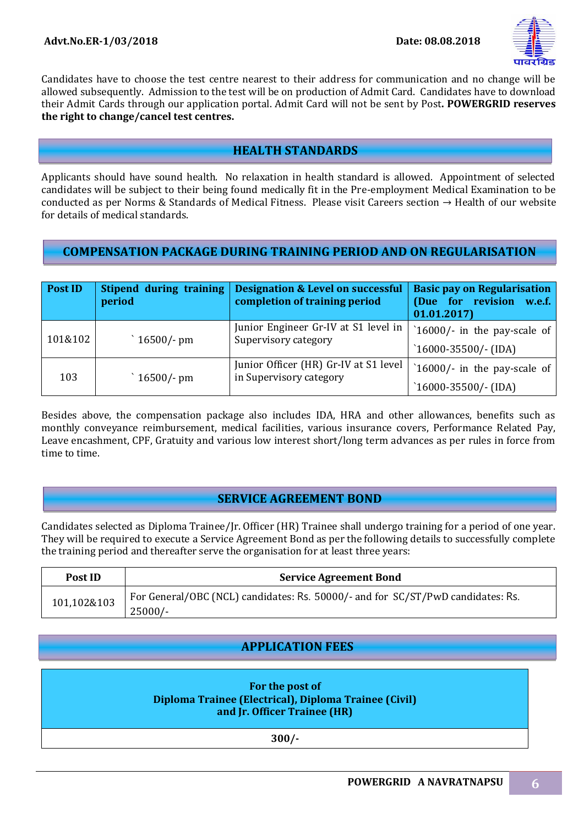

Candidates have to choose the test centre nearest to their address for communication and no change will be allowed subsequently. Admission to the test will be on production of Admit Card. Candidates have to download their Admit Cards through our application portal. Admit Card will not be sent by Post**. POWERGRID reserves the right to change/cancel test centres.**

# **HEALTH STANDARDS**

Applicants should have sound health. No relaxation in health standard is allowed. Appointment of selected candidates will be subject to their being found medically fit in the Pre-employment Medical Examination to be conducted as per Norms & Standards of Medical Fitness. Please visit Careers section  $\rightarrow$  Health of our website for details of medical standards.

## **COMPENSATION PACKAGE DURING TRAINING PERIOD AND ON REGULARISATION**

| <b>Post ID</b> | Stipend during training<br>period | <b>Designation &amp; Level on successful</b><br>completion of training period | <b>Basic pay on Regularisation</b><br>(Due for revision<br>w.e.f.<br>01.01.2017 |
|----------------|-----------------------------------|-------------------------------------------------------------------------------|---------------------------------------------------------------------------------|
| 101&102        | $16500/-$ pm                      | Junior Engineer Gr-IV at S1 level in<br>Supervisory category                  | 16000/- in the pay-scale of<br>$16000 - 35500/-(IDA)$                           |
| 103            | $16500/-$ pm                      | Junior Officer (HR) Gr-IV at S1 level<br>in Supervisory category              | $16000$ /- in the pay-scale of<br>$16000 - 35500/-(IDA)$                        |

Besides above, the compensation package also includes IDA, HRA and other allowances, benefits such as monthly conveyance reimbursement, medical facilities, various insurance covers, Performance Related Pay, Leave encashment, CPF, Gratuity and various low interest short/long term advances as per rules in force from time to time.

## **SERVICE AGREEMENT BOND**

Candidates selected as Diploma Trainee/Jr. Officer (HR) Trainee shall undergo training for a period of one year. They will be required to execute a Service Agreement Bond as per the following details to successfully complete the training period and thereafter serve the organisation for at least three years:

| Post ID     | <b>Service Agreement Bond</b>                                                   |  |  |  |  |  |
|-------------|---------------------------------------------------------------------------------|--|--|--|--|--|
| 101,102&103 | For General/OBC (NCL) candidates: Rs. 50000/- and for SC/ST/PwD candidates: Rs. |  |  |  |  |  |
|             | $25000/-$                                                                       |  |  |  |  |  |

## **APPLICATION FEES**

| For the post of                                       |  |
|-------------------------------------------------------|--|
| Diploma Trainee (Electrical), Diploma Trainee (Civil) |  |
| and Jr. Officer Trainee (HR)                          |  |

**300/-**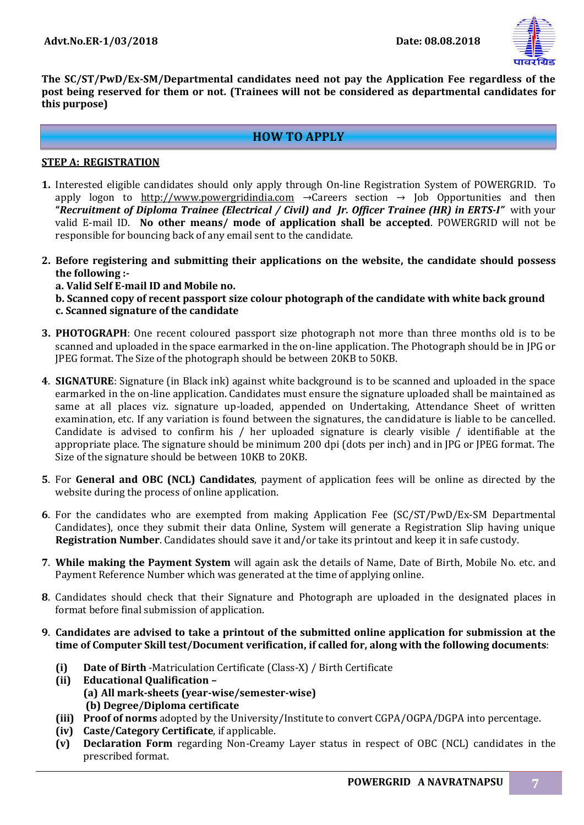

**The SC/ST/PwD/Ex-SM/Departmental candidates need not pay the Application Fee regardless of the post being reserved for them or not. (Trainees will not be considered as departmental candidates for this purpose)**

### **HOW TO APPLY**

#### **STEP A: REGISTRATION**

- **1.** Interested eligible candidates should only apply through On-line Registration System of POWERGRID. To apply logon to http:/[/www.powergridindia.com](http://www.powergridindia.com/)  $\rightarrow$  Careers section  $\rightarrow$  Job Opportunities and then **"***Recruitment of Diploma Trainee (Electrical / Civil) and Jr. Officer Trainee (HR) in ERTS-I"* with your valid E-mail ID. **No other means/ mode of application shall be accepted**. POWERGRID will not be responsible for bouncing back of any email sent to the candidate.
- **2. Before registering and submitting their applications on the website, the candidate should possess the following :**
	- **a. Valid Self E-mail ID and Mobile no.**
	- **b. Scanned copy of recent passport size colour photograph of the candidate with white back ground c. Scanned signature of the candidate**
- **3. PHOTOGRAPH**: One recent coloured passport size photograph not more than three months old is to be scanned and uploaded in the space earmarked in the on-line application. The Photograph should be in JPG or JPEG format. The Size of the photograph should be between 20KB to 50KB.
- **4**. **SIGNATURE**: Signature (in Black ink) against white background is to be scanned and uploaded in the space earmarked in the on-line application. Candidates must ensure the signature uploaded shall be maintained as same at all places viz. signature up-loaded, appended on Undertaking, Attendance Sheet of written examination, etc. If any variation is found between the signatures, the candidature is liable to be cancelled. Candidate is advised to confirm his / her uploaded signature is clearly visible / identifiable at the appropriate place. The signature should be minimum 200 dpi (dots per inch) and in JPG or JPEG format. The Size of the signature should be between 10KB to 20KB.
- **5**. For **General and OBC (NCL) Candidates**, payment of application fees will be online as directed by the website during the process of online application.
- **6**. For the candidates who are exempted from making Application Fee (SC/ST/PwD/Ex-SM Departmental Candidates), once they submit their data Online, System will generate a Registration Slip having unique **Registration Number**. Candidates should save it and/or take its printout and keep it in safe custody.
- **7**. **While making the Payment System** will again ask the details of Name, Date of Birth, Mobile No. etc. and Payment Reference Number which was generated at the time of applying online.
- **8**. Candidates should check that their Signature and Photograph are uploaded in the designated places in format before final submission of application.
- **9**. **Candidates are advised to take a printout of the submitted online application for submission at the time of Computer Skill test/Document verification, if called for, along with the following documents**:
	- **(i) Date of Birth** -Matriculation Certificate (Class-X) / Birth Certificate
	- **(ii) Educational Qualification – (a) All mark-sheets (year-wise/semester-wise) (b) Degree/Diploma certificate**
	- **(iii) Proof of norms** adopted by the University/Institute to convert CGPA/OGPA/DGPA into percentage.
	- **(iv) Caste/Category Certificate**, if applicable.
	- **(v) Declaration Form** regarding Non-Creamy Layer status in respect of OBC (NCL) candidates in the prescribed format.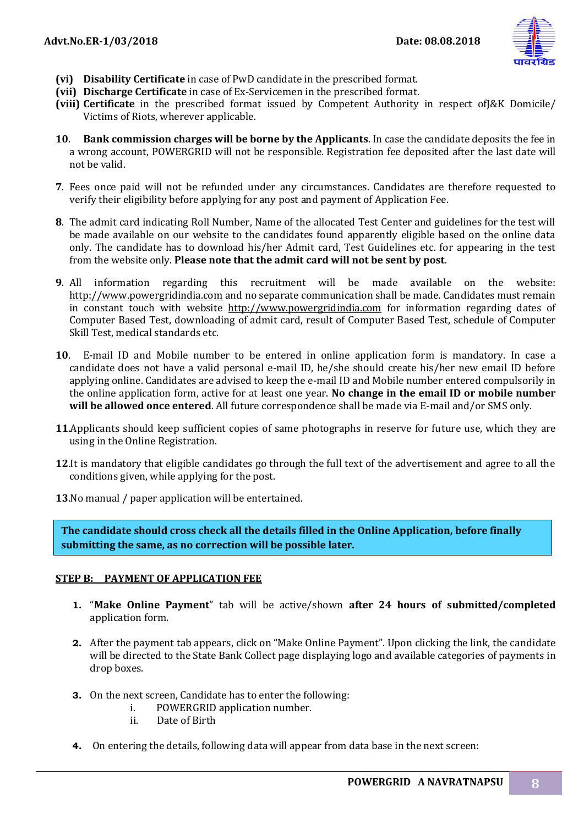

- **(vi) Disability Certificate** in case of PwD candidate in the prescribed format.
- **(vii) Discharge Certificate** in case of Ex-Servicemen in the prescribed format.
- **(viii) Certificate** in the prescribed format issued by Competent Authority in respect ofJ&K Domicile/ Victims of Riots, wherever applicable.
- **10**. **Bank commission charges will be borne by the Applicants**. In case the candidate deposits the fee in a wrong account, POWERGRID will not be responsible. Registration fee deposited after the last date will not be valid.
- **7**. Fees once paid will not be refunded under any circumstances. Candidates are therefore requested to verify their eligibility before applying for any post and payment of Application Fee.
- **8**. The admit card indicating Roll Number, Name of the allocated Test Center and guidelines for the test will be made available on our website to the candidates found apparently eligible based on the online data only. The candidate has to download his/her Admit card, Test Guidelines etc. for appearing in the test from the website only. **Please note that the admit card will not be sent by post**.
- **9**. All information regarding this recruitment will be made available on the website: http://www.powergridindia.com and no separate communication shall be made. Candidates must remain in constant touch with website http://www.powergridindia.com for information regarding dates of Computer Based Test, downloading of admit card, result of Computer Based Test, schedule of Computer Skill Test, medical standards etc.
- **10**. E-mail ID and Mobile number to be entered in online application form is mandatory. In case a candidate does not have a valid personal e-mail ID, he/she should create his/her new email ID before applying online. Candidates are advised to keep the e-mail ID and Mobile number entered compulsorily in the online application form, active for at least one year. **No change in the email ID or mobile number will be allowed once entered**. All future correspondence shall be made via E-mail and/or SMS only.
- **11**.Applicants should keep sufficient copies of same photographs in reserve for future use, which they are using in the Online Registration.
- **12**.It is mandatory that eligible candidates go through the full text of the advertisement and agree to all the conditions given, while applying for the post.

**13**.No manual / paper application will be entertained.

**The candidate should cross check all the details filled in the Online Application, before finally submitting the same, as no correction will be possible later.**

### **STEP B: PAYMENT OF APPLICATION FEE**

- **1.** "**Make Online Payment**" tab will be active/shown **after 24 hours of submitted/completed** application form.
- **2.** After the payment tab appears, click on "Make Online Payment". Upon clicking the link, the candidate will be directed to the State Bank Collect page displaying logo and available categories of payments in drop boxes.
- **3.** On the next screen, Candidate has to enter the following:
	- i. POWERGRID application number.
	- ii. Date of Birth
- **4.** On entering the details, following data will appear from data base in the next screen: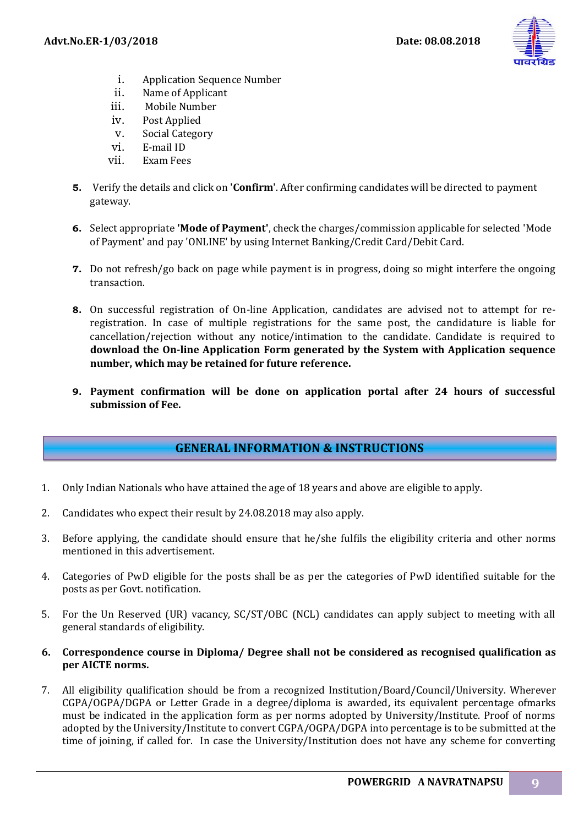

- i. Application Sequence Number
- ii. Name of Applicant
- iii. Mobile Number
- iv. Post Applied
- v. Social Category
- vi. E-mail ID
- vii. Exam Fees
- **5.** Verify the details and click on '**Confirm**'. After confirming candidates will be directed to payment gateway.
- **6.** Select appropriate **'Mode of Payment'**, check the charges/commission applicable for selected 'Mode of Payment' and pay 'ONLINE' by using Internet Banking/Credit Card/Debit Card.
- **7.** Do not refresh/go back on page while payment is in progress, doing so might interfere the ongoing transaction.
- **8.** On successful registration of On-line Application, candidates are advised not to attempt for reregistration. In case of multiple registrations for the same post, the candidature is liable for cancellation/rejection without any notice/intimation to the candidate. Candidate is required to **download the On-line Application Form generated by the System with Application sequence number, which may be retained for future reference.**
- **9. Payment confirmation will be done on application portal after 24 hours of successful submission of Fee.**

# **GENERAL INFORMATION & INSTRUCTIONS**

- 1. Only Indian Nationals who have attained the age of 18 years and above are eligible to apply.
- 2. Candidates who expect their result by 24.08.2018 may also apply.
- 3. Before applying, the candidate should ensure that he/she fulfils the eligibility criteria and other norms mentioned in this advertisement.
- 4. Categories of PwD eligible for the posts shall be as per the categories of PwD identified suitable for the posts as per Govt. notification.
- 5. For the Un Reserved (UR) vacancy, SC/ST/OBC (NCL) candidates can apply subject to meeting with all general standards of eligibility.
- **6. Correspondence course in Diploma/ Degree shall not be considered as recognised qualification as per AICTE norms.**
- 7. All eligibility qualification should be from a recognized Institution/Board/Council/University. Wherever CGPA/OGPA/DGPA or Letter Grade in a degree/diploma is awarded, its equivalent percentage ofmarks must be indicated in the application form as per norms adopted by University/Institute. Proof of norms adopted by the University/Institute to convert CGPA/OGPA/DGPA into percentage is to be submitted at the time of joining, if called for. In case the University/Institution does not have any scheme for converting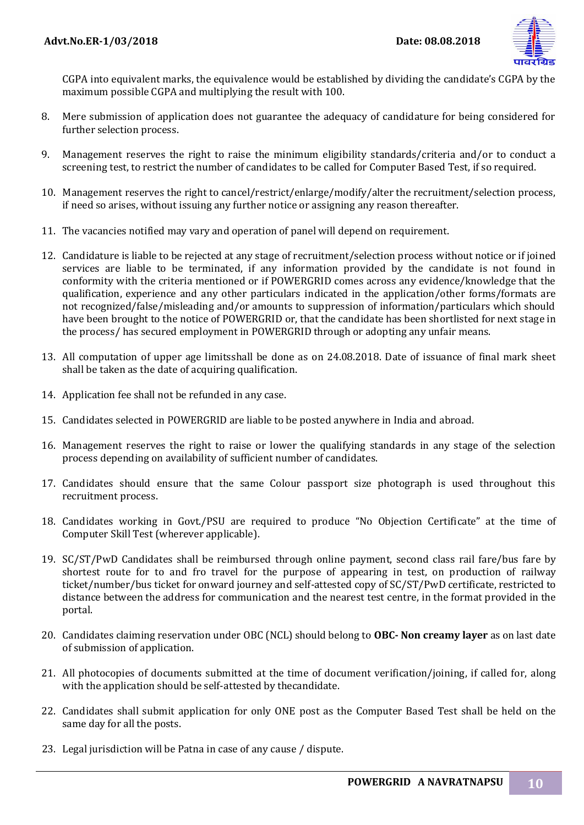

CGPA into equivalent marks, the equivalence would be established by dividing the candidate's CGPA by the maximum possible CGPA and multiplying the result with 100.

- 8. Mere submission of application does not guarantee the adequacy of candidature for being considered for further selection process.
- 9. Management reserves the right to raise the minimum eligibility standards/criteria and/or to conduct a screening test, to restrict the number of candidates to be called for Computer Based Test, if so required.
- 10. Management reserves the right to cancel/restrict/enlarge/modify/alter the recruitment/selection process, if need so arises, without issuing any further notice or assigning any reason thereafter.
- 11. The vacancies notified may vary and operation of panel will depend on requirement.
- 12. Candidature is liable to be rejected at any stage of recruitment/selection process without notice or if joined services are liable to be terminated, if any information provided by the candidate is not found in conformity with the criteria mentioned or if POWERGRID comes across any evidence/knowledge that the qualification, experience and any other particulars indicated in the application/other forms/formats are not recognized/false/misleading and/or amounts to suppression of information/particulars which should have been brought to the notice of POWERGRID or, that the candidate has been shortlisted for next stage in the process/ has secured employment in POWERGRID through or adopting any unfair means.
- 13. All computation of upper age limitsshall be done as on 24.08.2018. Date of issuance of final mark sheet shall be taken as the date of acquiring qualification.
- 14. Application fee shall not be refunded in any case.
- 15. Candidates selected in POWERGRID are liable to be posted anywhere in India and abroad.
- 16. Management reserves the right to raise or lower the qualifying standards in any stage of the selection process depending on availability of sufficient number of candidates.
- 17. Candidates should ensure that the same Colour passport size photograph is used throughout this recruitment process.
- 18. Candidates working in Govt./PSU are required to produce "No Objection Certificate" at the time of Computer Skill Test (wherever applicable).
- 19. SC/ST/PwD Candidates shall be reimbursed through online payment, second class rail fare/bus fare by shortest route for to and fro travel for the purpose of appearing in test, on production of railway ticket/number/bus ticket for onward journey and self-attested copy of SC/ST/PwD certificate, restricted to distance between the address for communication and the nearest test centre, in the format provided in the portal.
- 20. Candidates claiming reservation under OBC (NCL) should belong to **OBC- Non creamy layer** as on last date of submission of application.
- 21. All photocopies of documents submitted at the time of document verification/joining, if called for, along with the application should be self-attested by thecandidate.
- 22. Candidates shall submit application for only ONE post as the Computer Based Test shall be held on the same day for all the posts.
- 23. Legal jurisdiction will be Patna in case of any cause / dispute.